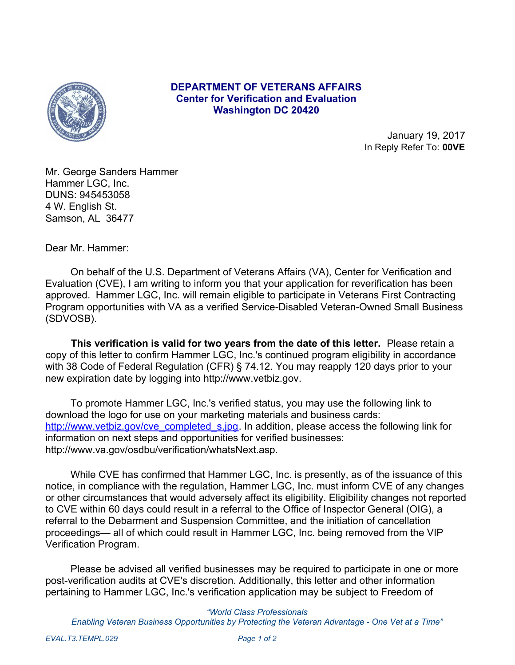

## **DEPARTMENT OF VETERANS AFFAIRS Center for Verification and Evaluation Washington DC 20420**

January 19, 2017 In Reply Refer To: **00VE**

Mr. George Sanders Hammer Hammer LGC, Inc. DUNS: 945453058 4 W. English St. Samson, AL 36477

Dear Mr. Hammer:

 On behalf of the U.S. Department of Veterans Affairs (VA), Center for Verification and Evaluation (CVE), I am writing to inform you that your application for reverification has been approved. Hammer LGC, Inc. will remain eligible to participate in Veterans First Contracting Program opportunities with VA as a verified Service-Disabled Veteran-Owned Small Business (SDVOSB).

 **This verification is valid for two years from the date of this letter.** Please retain a copy of this letter to confirm Hammer LGC, Inc.'s continued program eligibility in accordance with 38 Code of Federal Regulation (CFR) § 74.12. You may reapply 120 days prior to your new expiration date by logging into http://www.vetbiz.gov.

 To promote Hammer LGC, Inc.'s verified status, you may use the following link to download the logo for use on your marketing materials and business cards: [http://www.vetbiz.gov/cve\\_completed\\_s.jpg](http://www.vetbiz.gov/cve_completed_s.jpg). In addition, please access the following link for information on next steps and opportunities for verified businesses: http://www.va.gov/osdbu/verification/whatsNext.asp.

 While CVE has confirmed that Hammer LGC, Inc. is presently, as of the issuance of this notice, in compliance with the regulation, Hammer LGC, Inc. must inform CVE of any changes or other circumstances that would adversely affect its eligibility. Eligibility changes not reported to CVE within 60 days could result in a referral to the Office of Inspector General (OIG), a referral to the Debarment and Suspension Committee, and the initiation of cancellation proceedings— all of which could result in Hammer LGC, Inc. being removed from the VIP Verification Program.

 Please be advised all verified businesses may be required to participate in one or more post-verification audits at CVE's discretion. Additionally, this letter and other information pertaining to Hammer LGC, Inc.'s verification application may be subject to Freedom of

*"World Class Professionals Enabling Veteran Business Opportunities by Protecting the Veteran Advantage - One Vet at a Time"*